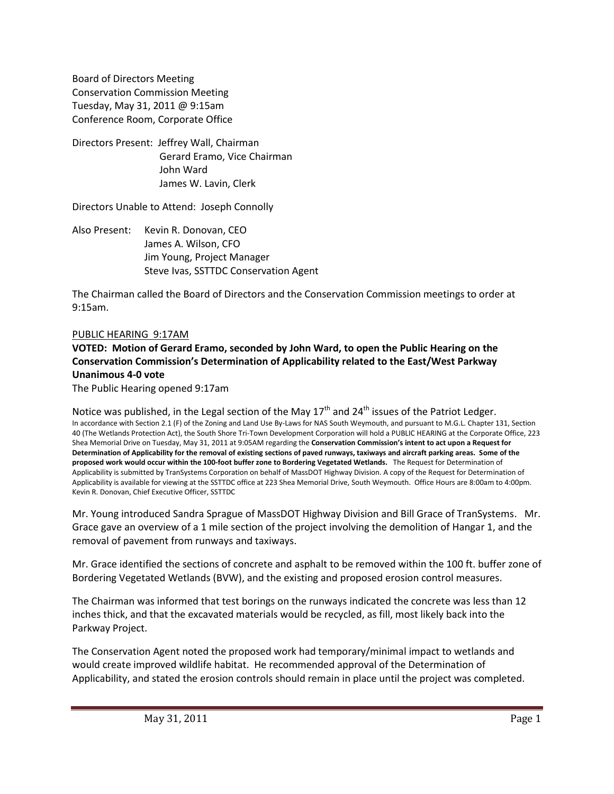Board of Directors Meeting Conservation Commission Meeting Tuesday, May 31, 2011 @ 9:15am Conference Room, Corporate Office

Directors Present: Jeffrey Wall, Chairman Gerard Eramo, Vice Chairman John Ward James W. Lavin, Clerk

Directors Unable to Attend: Joseph Connolly

Also Present: Kevin R. Donovan, CEO James A. Wilson, CFO Jim Young, Project Manager Steve Ivas, SSTTDC Conservation Agent

The Chairman called the Board of Directors and the Conservation Commission meetings to order at 9:15am.

#### PUBLIC HEARING 9:17AM

# **VOTED: Motion of Gerard Eramo, seconded by John Ward, to open the Public Hearing on the Conservation Commission's Determination of Applicability related to the East/West Parkway Unanimous 4-0 vote**

The Public Hearing opened 9:17am

Notice was published, in the Legal section of the May 17<sup>th</sup> and 24<sup>th</sup> issues of the Patriot Ledger. In accordance with Section 2.1 (F) of the Zoning and Land Use By-Laws for NAS South Weymouth, and pursuant to M.G.L. Chapter 131, Section 40 (The Wetlands Protection Act), the South Shore Tri-Town Development Corporation will hold a PUBLIC HEARING at the Corporate Office, 223 Shea Memorial Drive on Tuesday, May 31, 2011 at 9:05AM regarding the **Conservation Commission's intent to act upon a Request for Determination of Applicability for the removal of existing sections of paved runways, taxiways and aircraft parking areas. Some of the proposed work would occur within the 100-foot buffer zone to Bordering Vegetated Wetlands.** The Request for Determination of Applicability is submitted by TranSystems Corporation on behalf of MassDOT Highway Division. A copy of the Request for Determination of Applicability is available for viewing at the SSTTDC office at 223 Shea Memorial Drive, South Weymouth. Office Hours are 8:00am to 4:00pm. Kevin R. Donovan, Chief Executive Officer, SSTTDC

Mr. Young introduced Sandra Sprague of MassDOT Highway Division and Bill Grace of TranSystems. Mr. Grace gave an overview of a 1 mile section of the project involving the demolition of Hangar 1, and the removal of pavement from runways and taxiways.

Mr. Grace identified the sections of concrete and asphalt to be removed within the 100 ft. buffer zone of Bordering Vegetated Wetlands (BVW), and the existing and proposed erosion control measures.

The Chairman was informed that test borings on the runways indicated the concrete was less than 12 inches thick, and that the excavated materials would be recycled, as fill, most likely back into the Parkway Project.

The Conservation Agent noted the proposed work had temporary/minimal impact to wetlands and would create improved wildlife habitat. He recommended approval of the Determination of Applicability, and stated the erosion controls should remain in place until the project was completed.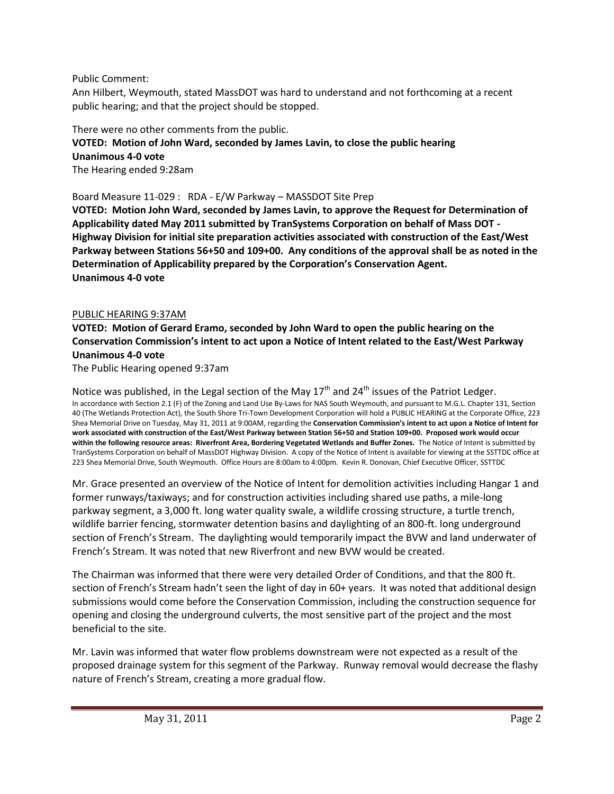Public Comment:

Ann Hilbert, Weymouth, stated MassDOT was hard to understand and not forthcoming at a recent public hearing; and that the project should be stopped.

# There were no other comments from the public. **VOTED: Motion of John Ward, seconded by James Lavin, to close the public hearing Unanimous 4-0 vote** The Hearing ended 9:28am

Board Measure 11-029 : RDA - E/W Parkway – MASSDOT Site Prep

**VOTED: Motion John Ward, seconded by James Lavin, to approve the Request for Determination of Applicability dated May 2011 submitted by TranSystems Corporation on behalf of Mass DOT - Highway Division for initial site preparation activities associated with construction of the East/West Parkway between Stations 56+50 and 109+00. Any conditions of the approval shall be as noted in the Determination of Applicability prepared by the Corporation's Conservation Agent. Unanimous 4-0 vote**

# PUBLIC HEARING 9:37AM

# **VOTED: Motion of Gerard Eramo, seconded by John Ward to open the public hearing on the Conservation Commission's intent to act upon a Notice of Intent related to the East/West Parkway Unanimous 4-0 vote**

The Public Hearing opened 9:37am

Notice was published, in the Legal section of the May 17<sup>th</sup> and 24<sup>th</sup> issues of the Patriot Ledger. In accordance with Section 2.1 (F) of the Zoning and Land Use By-Laws for NAS South Weymouth, and pursuant to M.G.L. Chapter 131, Section 40 (The Wetlands Protection Act), the South Shore Tri-Town Development Corporation will hold a PUBLIC HEARING at the Corporate Office, 223 Shea Memorial Drive on Tuesday, May 31, 2011 at 9:00AM, regarding the **Conservation Commission's intent to act upon a Notice of Intent for work associated with construction of the East/West Parkway between Station 56+50 and Station 109+00. Proposed work would occur within the following resource areas: Riverfront Area, Bordering Vegetated Wetlands and Buffer Zones.** The Notice of Intent is submitted by TranSystems Corporation on behalf of MassDOT Highway Division. A copy of the Notice of Intent is available for viewing at the SSTTDC office at 223 Shea Memorial Drive, South Weymouth. Office Hours are 8:00am to 4:00pm. Kevin R. Donovan, Chief Executive Officer, SSTTDC

Mr. Grace presented an overview of the Notice of Intent for demolition activities including Hangar 1 and former runways/taxiways; and for construction activities including shared use paths, a mile-long parkway segment, a 3,000 ft. long water quality swale, a wildlife crossing structure, a turtle trench, wildlife barrier fencing, stormwater detention basins and daylighting of an 800-ft. long underground section of French's Stream. The daylighting would temporarily impact the BVW and land underwater of French's Stream. It was noted that new Riverfront and new BVW would be created.

The Chairman was informed that there were very detailed Order of Conditions, and that the 800 ft. section of French's Stream hadn't seen the light of day in 60+ years. It was noted that additional design submissions would come before the Conservation Commission, including the construction sequence for opening and closing the underground culverts, the most sensitive part of the project and the most beneficial to the site.

Mr. Lavin was informed that water flow problems downstream were not expected as a result of the proposed drainage system for this segment of the Parkway. Runway removal would decrease the flashy nature of French's Stream, creating a more gradual flow.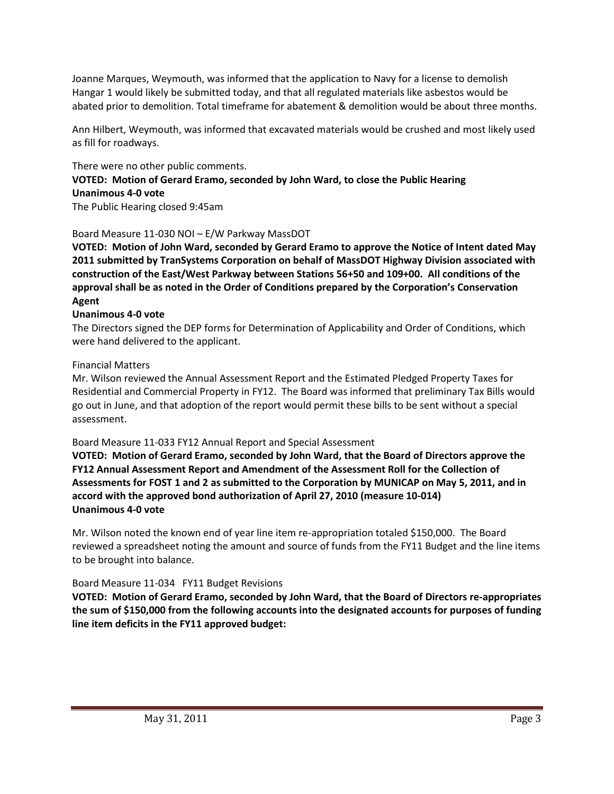Joanne Marques, Weymouth, was informed that the application to Navy for a license to demolish Hangar 1 would likely be submitted today, and that all regulated materials like asbestos would be abated prior to demolition. Total timeframe for abatement & demolition would be about three months.

Ann Hilbert, Weymouth, was informed that excavated materials would be crushed and most likely used as fill for roadways.

# There were no other public comments.

# **VOTED: Motion of Gerard Eramo, seconded by John Ward, to close the Public Hearing Unanimous 4-0 vote**

The Public Hearing closed 9:45am

# Board Measure 11-030 NOI – E/W Parkway MassDOT

**VOTED: Motion of John Ward, seconded by Gerard Eramo to approve the Notice of Intent dated May 2011 submitted by TranSystems Corporation on behalf of MassDOT Highway Division associated with construction of the East/West Parkway between Stations 56+50 and 109+00. All conditions of the approval shall be as noted in the Order of Conditions prepared by the Corporation's Conservation Agent**

# **Unanimous 4-0 vote**

The Directors signed the DEP forms for Determination of Applicability and Order of Conditions, which were hand delivered to the applicant.

# Financial Matters

Mr. Wilson reviewed the Annual Assessment Report and the Estimated Pledged Property Taxes for Residential and Commercial Property in FY12. The Board was informed that preliminary Tax Bills would go out in June, and that adoption of the report would permit these bills to be sent without a special assessment.

# Board Measure 11-033 FY12 Annual Report and Special Assessment

**VOTED: Motion of Gerard Eramo, seconded by John Ward, that the Board of Directors approve the FY12 Annual Assessment Report and Amendment of the Assessment Roll for the Collection of Assessments for FOST 1 and 2 as submitted to the Corporation by MUNICAP on May 5, 2011, and in accord with the approved bond authorization of April 27, 2010 (measure 10-014) Unanimous 4-0 vote**

Mr. Wilson noted the known end of year line item re-appropriation totaled \$150,000. The Board reviewed a spreadsheet noting the amount and source of funds from the FY11 Budget and the line items to be brought into balance.

# Board Measure 11-034 FY11 Budget Revisions

**VOTED: Motion of Gerard Eramo, seconded by John Ward, that the Board of Directors re-appropriates the sum of \$150,000 from the following accounts into the designated accounts for purposes of funding line item deficits in the FY11 approved budget:**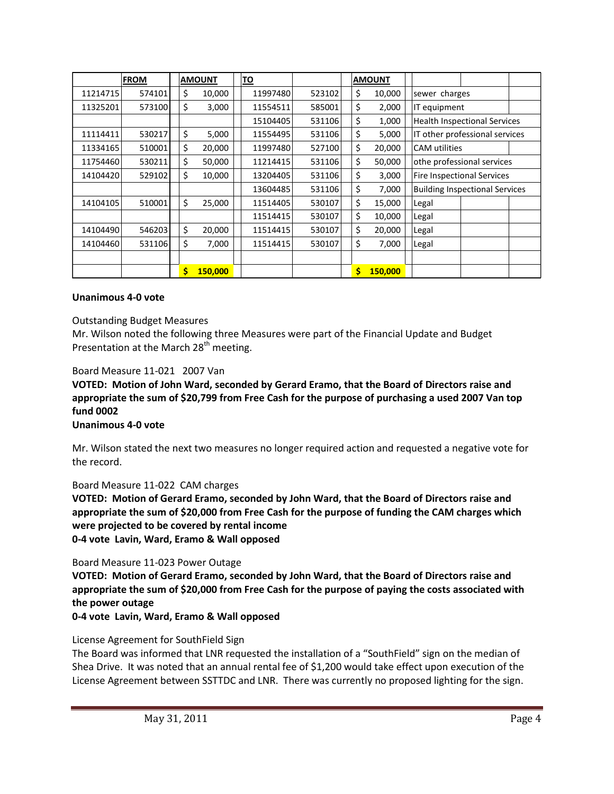|          | <b>FROM</b> | <b>AMOUNT</b> |         | <u>TO</u> |        |  | <b>AMOUNT</b> |                                       |  |  |
|----------|-------------|---------------|---------|-----------|--------|--|---------------|---------------------------------------|--|--|
| 11214715 | 574101      | \$            | 10,000  | 11997480  | 523102 |  | \$<br>10,000  | sewer charges                         |  |  |
| 11325201 | 573100      | \$            | 3,000   | 11554511  | 585001 |  | \$<br>2,000   | IT equipment                          |  |  |
|          |             |               |         | 15104405  | 531106 |  | \$<br>1,000   | <b>Health Inspectional Services</b>   |  |  |
| 11114411 | 530217      | \$            | 5,000   | 11554495  | 531106 |  | \$<br>5,000   | IT other professional services        |  |  |
| 11334165 | 510001      | \$            | 20,000  | 11997480  | 527100 |  | \$<br>20,000  | CAM utilities                         |  |  |
| 11754460 | 530211      | \$            | 50,000  | 11214415  | 531106 |  | \$<br>50,000  | othe professional services            |  |  |
| 14104420 | 529102      | \$            | 10,000  | 13204405  | 531106 |  | \$<br>3,000   | Fire Inspectional Services            |  |  |
|          |             |               |         | 13604485  | 531106 |  | \$<br>7,000   | <b>Building Inspectional Services</b> |  |  |
| 14104105 | 510001      | \$            | 25,000  | 11514405  | 530107 |  | \$<br>15,000  | Legal                                 |  |  |
|          |             |               |         | 11514415  | 530107 |  | \$<br>10,000  | Legal                                 |  |  |
| 14104490 | 546203      | \$            | 20,000  | 11514415  | 530107 |  | \$<br>20,000  | Legal                                 |  |  |
| 14104460 | 531106      | \$            | 7,000   | 11514415  | 530107 |  | \$<br>7,000   | Legal                                 |  |  |
|          |             |               |         |           |        |  |               |                                       |  |  |
|          |             | \$            | 150,000 |           |        |  | \$<br>150,000 |                                       |  |  |

#### **Unanimous 4-0 vote**

#### Outstanding Budget Measures

Mr. Wilson noted the following three Measures were part of the Financial Update and Budget Presentation at the March 28<sup>th</sup> meeting.

#### Board Measure 11-021 2007 Van

**VOTED: Motion of John Ward, seconded by Gerard Eramo, that the Board of Directors raise and appropriate the sum of \$20,799 from Free Cash for the purpose of purchasing a used 2007 Van top fund 0002**

#### **Unanimous 4-0 vote**

Mr. Wilson stated the next two measures no longer required action and requested a negative vote for the record.

#### Board Measure 11-022 CAM charges

**VOTED: Motion of Gerard Eramo, seconded by John Ward, that the Board of Directors raise and appropriate the sum of \$20,000 from Free Cash for the purpose of funding the CAM charges which were projected to be covered by rental income 0-4 vote Lavin, Ward, Eramo & Wall opposed**

#### Board Measure 11-023 Power Outage

**VOTED: Motion of Gerard Eramo, seconded by John Ward, that the Board of Directors raise and appropriate the sum of \$20,000 from Free Cash for the purpose of paying the costs associated with the power outage**

**0-4 vote Lavin, Ward, Eramo & Wall opposed**

#### License Agreement for SouthField Sign

The Board was informed that LNR requested the installation of a "SouthField" sign on the median of Shea Drive. It was noted that an annual rental fee of \$1,200 would take effect upon execution of the License Agreement between SSTTDC and LNR. There was currently no proposed lighting for the sign.